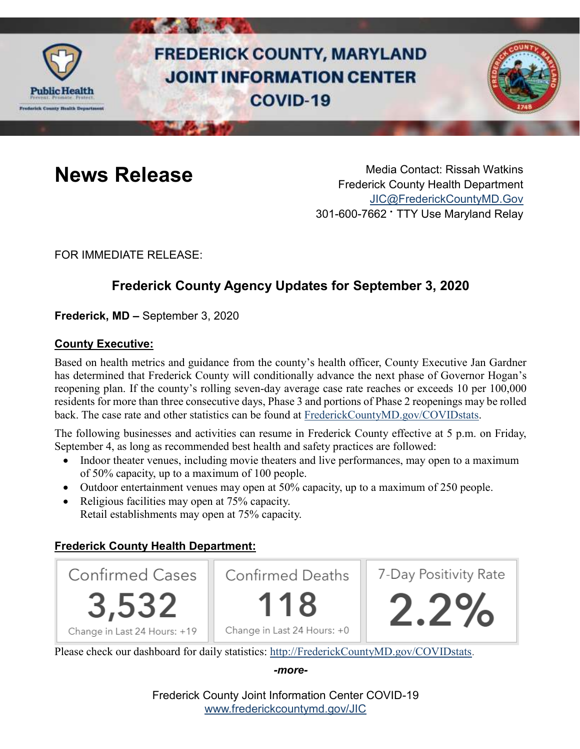

# **FREDERICK COUNTY, MARYLAND JOINT INFORMATION CENTER COVID-19**



**News Release** Media Contact: Rissah Watkins Frederick County Health Department [JIC@FrederickCountyMD.Gov](mailto:JIC@FrederickCountyMD.Gov) 301-600-7662 • TTY Use Maryland Relay

FOR IMMEDIATE RELEASE:

## **Frederick County Agency Updates for September 3, 2020**

**Frederick, MD –** September 3, 2020

#### **County Executive:**

Based on health metrics and guidance from the county's health officer, County Executive Jan Gardner has determined that Frederick County will conditionally advance the next phase of Governor Hogan's reopening plan. If the county's rolling seven-day average case rate reaches or exceeds 10 per 100,000 residents for more than three consecutive days, Phase 3 and portions of Phase 2 reopenings may be rolled back. The case rate and other statistics can be found at [FrederickCountyMD.gov/COVIDstats.](http://www.frederickcountymd.gov/COVIDstats)

The following businesses and activities can resume in Frederick County effective at 5 p.m. on Friday, September 4, as long as recommended best health and safety practices are followed:

- Indoor theater venues, including movie theaters and live performances, may open to a maximum of 50% capacity, up to a maximum of 100 people.
- Outdoor entertainment venues may open at 50% capacity, up to a maximum of 250 people.
- Religious facilities may open at 75% capacity. Retail establishments may open at 75% capacity.

### **Frederick County Health Department:**



Please check our dashboard for daily statistics: [http://FrederickCountyMD.gov/COVIDstats.](http://frederickcountymd.gov/COVIDstats)

*-more-*

Frederick County Joint Information Center COVID-19 [www.frederickcountymd.gov/JIC](https://frederickcountymd.gov/JIC)